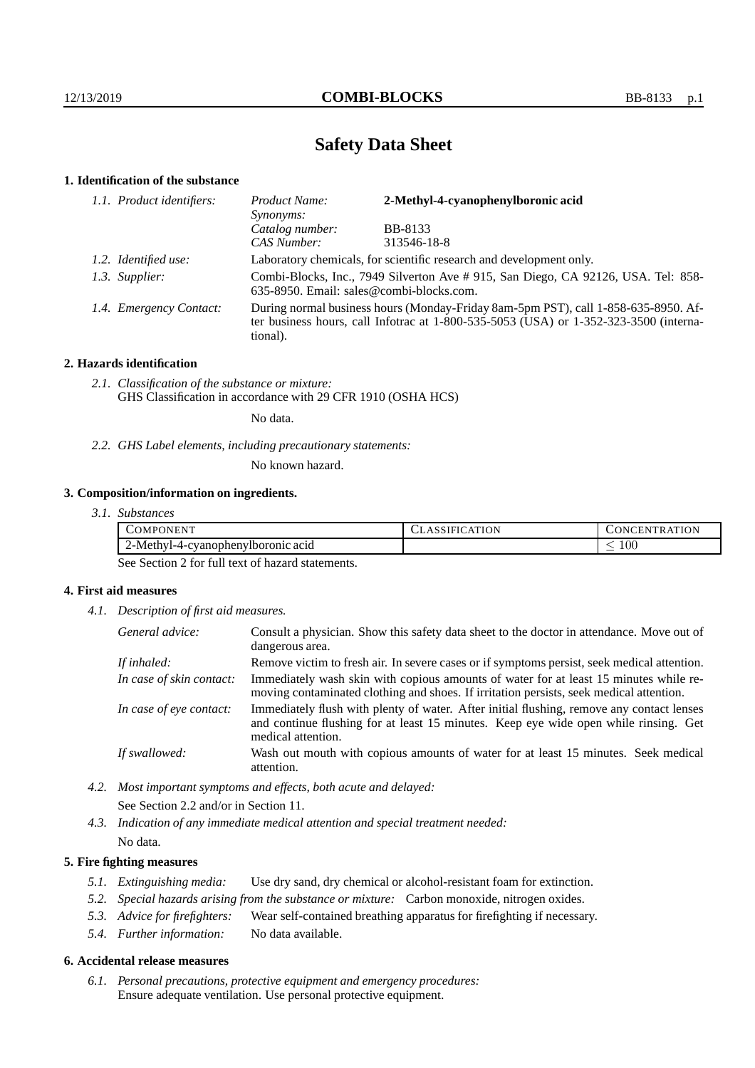# **Safety Data Sheet**

## **1. Identification of the substance**

| 1.1. Product identifiers: | 2-Methyl-4-cyanophenylboronic acid<br>Product Name:<br>Synonyms:                                                                                                                            |                |  |
|---------------------------|---------------------------------------------------------------------------------------------------------------------------------------------------------------------------------------------|----------------|--|
|                           | Catalog number:                                                                                                                                                                             | <b>BB-8133</b> |  |
|                           | CAS Number:                                                                                                                                                                                 | 313546-18-8    |  |
| 1.2. Identified use:      | Laboratory chemicals, for scientific research and development only.                                                                                                                         |                |  |
| 1.3. Supplier:            | Combi-Blocks, Inc., 7949 Silverton Ave # 915, San Diego, CA 92126, USA. Tel: 858-<br>635-8950. Email: sales@combi-blocks.com.                                                               |                |  |
| 1.4. Emergency Contact:   | During normal business hours (Monday-Friday 8am-5pm PST), call 1-858-635-8950. Af-<br>ter business hours, call Infotrac at $1-800-535-5053$ (USA) or $1-352-323-3500$ (interna-<br>tional). |                |  |

## **2. Hazards identification**

*2.1. Classification of the substance or mixture:* GHS Classification in accordance with 29 CFR 1910 (OSHA HCS)

No data.

*2.2. GHS Label elements, including precautionary statements:*

No known hazard.

## **3. Composition/information on ingredients.**

| 3.1. Substances |  |
|-----------------|--|
|                 |  |

| $\mathcal{L}OMP^{\mathcal{L}}$<br>'ONEN .<br>$\cdot$ | <b>ATION</b><br>SSIFICZ | ATION<br>. vCEN "<br>$\overline{\mathbf{v}}$<br>`R A |
|------------------------------------------------------|-------------------------|------------------------------------------------------|
| $\angle$ -Methy<br>71-4-evanophenylboronic acid      |                         | $100\,$<br>_                                         |

See Section 2 for full text of hazard statements.

## **4. First aid measures**

*4.1. Description of first aid measures.*

| General advice:          | Consult a physician. Show this safety data sheet to the doctor in attendance. Move out of<br>dangerous area.                                                                                            |
|--------------------------|---------------------------------------------------------------------------------------------------------------------------------------------------------------------------------------------------------|
| If inhaled:              | Remove victim to fresh air. In severe cases or if symptoms persist, seek medical attention.                                                                                                             |
| In case of skin contact: | Immediately wash skin with copious amounts of water for at least 15 minutes while re-<br>moving contaminated clothing and shoes. If irritation persists, seek medical attention.                        |
| In case of eye contact:  | Immediately flush with plenty of water. After initial flushing, remove any contact lenses<br>and continue flushing for at least 15 minutes. Keep eye wide open while rinsing. Get<br>medical attention. |
| If swallowed:            | Wash out mouth with copious amounts of water for at least 15 minutes. Seek medical<br>attention.                                                                                                        |

- *4.2. Most important symptoms and effects, both acute and delayed:* See Section 2.2 and/or in Section 11.
- *4.3. Indication of any immediate medical attention and special treatment needed:* No data.

## **5. Fire fighting measures**

- *5.1. Extinguishing media:* Use dry sand, dry chemical or alcohol-resistant foam for extinction.
- *5.2. Special hazards arising from the substance or mixture:* Carbon monoxide, nitrogen oxides.
- *5.3. Advice for firefighters:* Wear self-contained breathing apparatus for firefighting if necessary.
- *5.4. Further information:* No data available.

## **6. Accidental release measures**

*6.1. Personal precautions, protective equipment and emergency procedures:* Ensure adequate ventilation. Use personal protective equipment.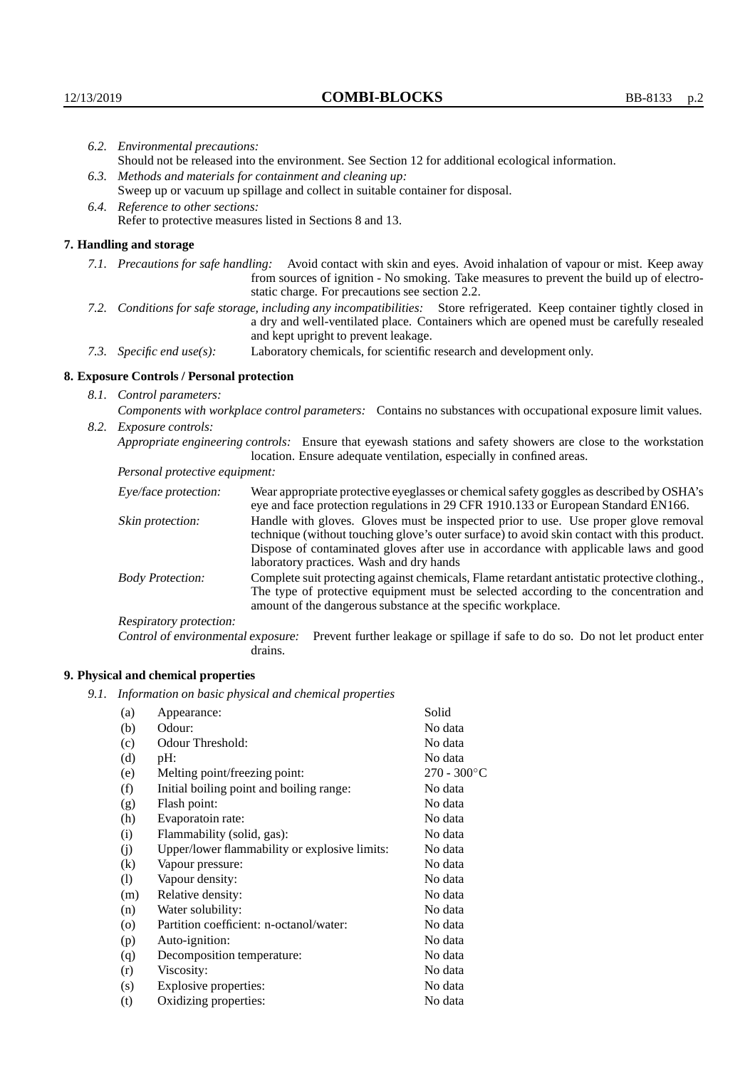|                                                                                | 6.2. Environmental precautions:                                                                                                                                                                                                                            |                                                                                                                                                                                                                                                                    |  |
|--------------------------------------------------------------------------------|------------------------------------------------------------------------------------------------------------------------------------------------------------------------------------------------------------------------------------------------------------|--------------------------------------------------------------------------------------------------------------------------------------------------------------------------------------------------------------------------------------------------------------------|--|
|                                                                                | Should not be released into the environment. See Section 12 for additional ecological information.                                                                                                                                                         |                                                                                                                                                                                                                                                                    |  |
|                                                                                | 6.3. Methods and materials for containment and cleaning up:                                                                                                                                                                                                |                                                                                                                                                                                                                                                                    |  |
| Sweep up or vacuum up spillage and collect in suitable container for disposal. |                                                                                                                                                                                                                                                            |                                                                                                                                                                                                                                                                    |  |
|                                                                                | 6.4. Reference to other sections:                                                                                                                                                                                                                          |                                                                                                                                                                                                                                                                    |  |
|                                                                                |                                                                                                                                                                                                                                                            | Refer to protective measures listed in Sections 8 and 13.                                                                                                                                                                                                          |  |
|                                                                                | 7. Handling and storage                                                                                                                                                                                                                                    |                                                                                                                                                                                                                                                                    |  |
|                                                                                |                                                                                                                                                                                                                                                            | 7.1. Precautions for safe handling: Avoid contact with skin and eyes. Avoid inhalation of vapour or mist. Keep away<br>from sources of ignition - No smoking. Take measures to prevent the build up of electro-<br>static charge. For precautions see section 2.2. |  |
|                                                                                | 7.2. Conditions for safe storage, including any incompatibilities: Store refrigerated. Keep container tightly closed in<br>a dry and well-ventilated place. Containers which are opened must be carefully resealed<br>and kept upright to prevent leakage. |                                                                                                                                                                                                                                                                    |  |
|                                                                                | Laboratory chemicals, for scientific research and development only.<br>7.3. Specific end use(s):                                                                                                                                                           |                                                                                                                                                                                                                                                                    |  |
|                                                                                | 8. Exposure Controls / Personal protection                                                                                                                                                                                                                 |                                                                                                                                                                                                                                                                    |  |
|                                                                                | 8.1. Control parameters:                                                                                                                                                                                                                                   |                                                                                                                                                                                                                                                                    |  |
|                                                                                |                                                                                                                                                                                                                                                            | Components with workplace control parameters: Contains no substances with occupational exposure limit values.                                                                                                                                                      |  |
|                                                                                | 8.2. Exposure controls:                                                                                                                                                                                                                                    |                                                                                                                                                                                                                                                                    |  |
|                                                                                | Appropriate engineering controls: Ensure that eyewash stations and safety showers are close to the workstation<br>location. Ensure adequate ventilation, especially in confined areas.                                                                     |                                                                                                                                                                                                                                                                    |  |
|                                                                                | Personal protective equipment:                                                                                                                                                                                                                             |                                                                                                                                                                                                                                                                    |  |
|                                                                                | Eye/face protection:                                                                                                                                                                                                                                       | Wear appropriate protective eyeglasses or chemical safety goggles as described by OSHA's<br>eye and face protection regulations in 29 CFR 1910.133 or European Standard EN166.                                                                                     |  |
|                                                                                | Skin protection:                                                                                                                                                                                                                                           | Handle with gloves. Gloves must be inspected prior to use. Use proper glove removal<br>technique (without touching glove's outer surface) to avoid skin contact with this product.                                                                                 |  |

| Eye/face protection:               | Wear appropriate protective eyeglasses or chemical safety goggles as described by OSHA's<br>eye and face protection regulations in 29 CFR 1910.133 or European Standard EN166.                                                                                                                                         |  |  |
|------------------------------------|------------------------------------------------------------------------------------------------------------------------------------------------------------------------------------------------------------------------------------------------------------------------------------------------------------------------|--|--|
| Skin protection:                   | Handle with gloves. Gloves must be inspected prior to use. Use proper glove removal<br>technique (without touching glove's outer surface) to avoid skin contact with this product.<br>Dispose of contaminated gloves after use in accordance with applicable laws and good<br>laboratory practices. Wash and dry hands |  |  |
| <b>Body Protection:</b>            | Complete suit protecting against chemicals, Flame retardant antistatic protective clothing.,<br>The type of protective equipment must be selected according to the concentration and<br>amount of the dangerous substance at the specific workplace.                                                                   |  |  |
| Respiratory protection:            |                                                                                                                                                                                                                                                                                                                        |  |  |
| Control of environmental exposure: | Prevent further leakage or spillage if safe to do so. Do not let product enter<br>drains.                                                                                                                                                                                                                              |  |  |

## **9. Physical and chemical properties**

*9.1. Information on basic physical and chemical properties*

| (a)      | Appearance:                                   | Solid                |
|----------|-----------------------------------------------|----------------------|
| (b)      | Odour:                                        | No data              |
| (c)      | Odour Threshold:                              | No data              |
| (d)      | $pH$ :                                        | No data              |
| (e)      | Melting point/freezing point:                 | $270 - 300^{\circ}C$ |
| (f)      | Initial boiling point and boiling range:      | No data              |
| (g)      | Flash point:                                  | No data              |
| (h)      | Evaporatoin rate:                             | No data              |
| (i)      | Flammability (solid, gas):                    | No data              |
| (j)      | Upper/lower flammability or explosive limits: | No data              |
| $\rm(k)$ | Vapour pressure:                              | No data              |
| (1)      | Vapour density:                               | No data              |
| (m)      | Relative density:                             | No data              |
| (n)      | Water solubility:                             | No data              |
| $\circ$  | Partition coefficient: n-octanol/water:       | No data              |
| (p)      | Auto-ignition:                                | No data              |
| (q)      | Decomposition temperature:                    | No data              |
| (r)      | Viscosity:                                    | No data              |
| (s)      | Explosive properties:                         | No data              |
| (t)      | Oxidizing properties:                         | No data              |
|          |                                               |                      |